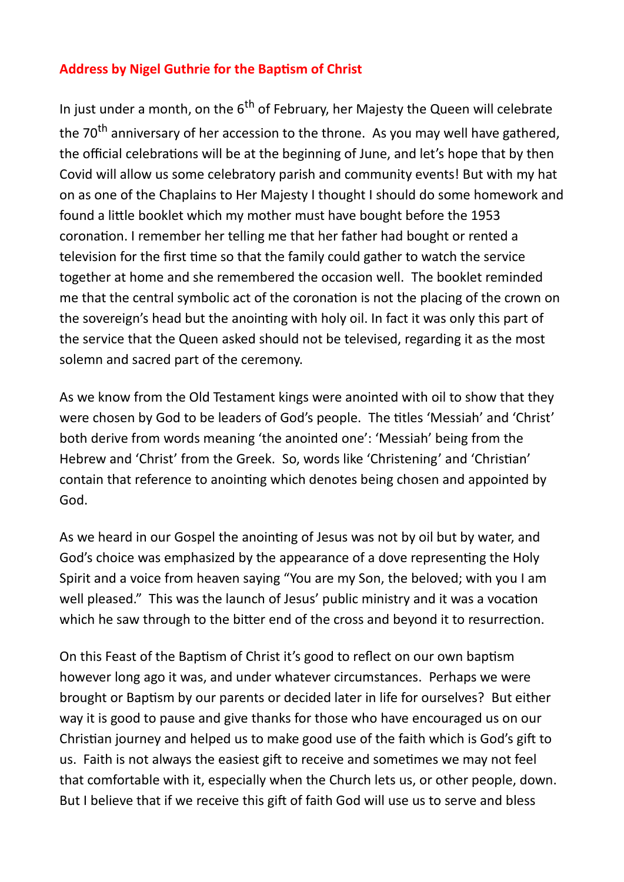## **Address by Nigel Guthrie for the Baptism of Christ**

In just under a month, on the  $6<sup>th</sup>$  of February, her Majesty the Queen will celebrate the 70<sup>th</sup> anniversary of her accession to the throne. As you may well have gathered, the official celebrations will be at the beginning of June, and let's hope that by then Covid will allow us some celebratory parish and community events! But with my hat on as one of the Chaplains to Her Majesty I thought I should do some homework and found a little booklet which my mother must have bought before the 1953 coronation. I remember her telling me that her father had bought or rented a television for the first time so that the family could gather to watch the service together at home and she remembered the occasion well. The booklet reminded me that the central symbolic act of the coronation is not the placing of the crown on the sovereign's head but the anointing with holy oil. In fact it was only this part of the service that the Queen asked should not be televised, regarding it as the most solemn and sacred part of the ceremony.

As we know from the Old Testament kings were anointed with oil to show that they were chosen by God to be leaders of God's people. The titles 'Messiah' and 'Christ' both derive from words meaning 'the anointed one': 'Messiah' being from the Hebrew and 'Christ' from the Greek. So, words like 'Christening' and 'Christian' contain that reference to anointing which denotes being chosen and appointed by God.

As we heard in our Gospel the anointing of Jesus was not by oil but by water, and God's choice was emphasized by the appearance of a dove representing the Holy Spirit and a voice from heaven saying "You are my Son, the beloved; with you I am well pleased." This was the launch of Jesus' public ministry and it was a vocation which he saw through to the bitter end of the cross and beyond it to resurrection.

On this Feast of the Baptism of Christ it's good to reflect on our own baptism however long ago it was, and under whatever circumstances. Perhaps we were brought or Baptism by our parents or decided later in life for ourselves? But either way it is good to pause and give thanks for those who have encouraged us on our Christian journey and helped us to make good use of the faith which is God's gift to us. Faith is not always the easiest gift to receive and sometimes we may not feel that comfortable with it, especially when the Church lets us, or other people, down. But I believe that if we receive this gift of faith God will use us to serve and bless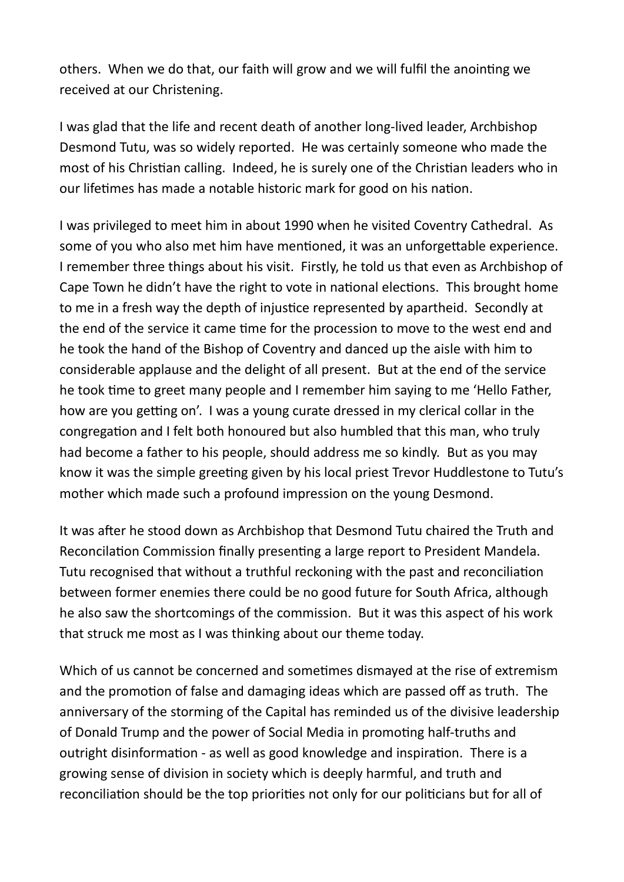others. When we do that, our faith will grow and we will fulfil the anointing we received at our Christening.

I was glad that the life and recent death of another long-lived leader, Archbishop Desmond Tutu, was so widely reported. He was certainly someone who made the most of his Christian calling. Indeed, he is surely one of the Christian leaders who in our lifetimes has made a notable historic mark for good on his nation.

I was privileged to meet him in about 1990 when he visited Coventry Cathedral. As some of you who also met him have mentioned, it was an unforgettable experience. I remember three things about his visit. Firstly, he told us that even as Archbishop of Cape Town he didn't have the right to vote in national elections. This brought home to me in a fresh way the depth of injustice represented by apartheid. Secondly at the end of the service it came time for the procession to move to the west end and he took the hand of the Bishop of Coventry and danced up the aisle with him to considerable applause and the delight of all present. But at the end of the service he took time to greet many people and I remember him saying to me 'Hello Father, how are you getting on'. I was a young curate dressed in my clerical collar in the congregation and I felt both honoured but also humbled that this man, who truly had become a father to his people, should address me so kindly. But as you may know it was the simple greeting given by his local priest Trevor Huddlestone to Tutu's mother which made such a profound impression on the young Desmond.

It was after he stood down as Archbishop that Desmond Tutu chaired the Truth and Reconcilation Commission finally presenting a large report to President Mandela. Tutu recognised that without a truthful reckoning with the past and reconciliation between former enemies there could be no good future for South Africa, although he also saw the shortcomings of the commission. But it was this aspect of his work that struck me most as I was thinking about our theme today.

Which of us cannot be concerned and sometimes dismayed at the rise of extremism and the promotion of false and damaging ideas which are passed off as truth. The anniversary of the storming of the Capital has reminded us of the divisive leadership of Donald Trump and the power of Social Media in promoting half-truths and outright disinformation - as well as good knowledge and inspiration. There is a growing sense of division in society which is deeply harmful, and truth and reconciliation should be the top priorities not only for our politicians but for all of